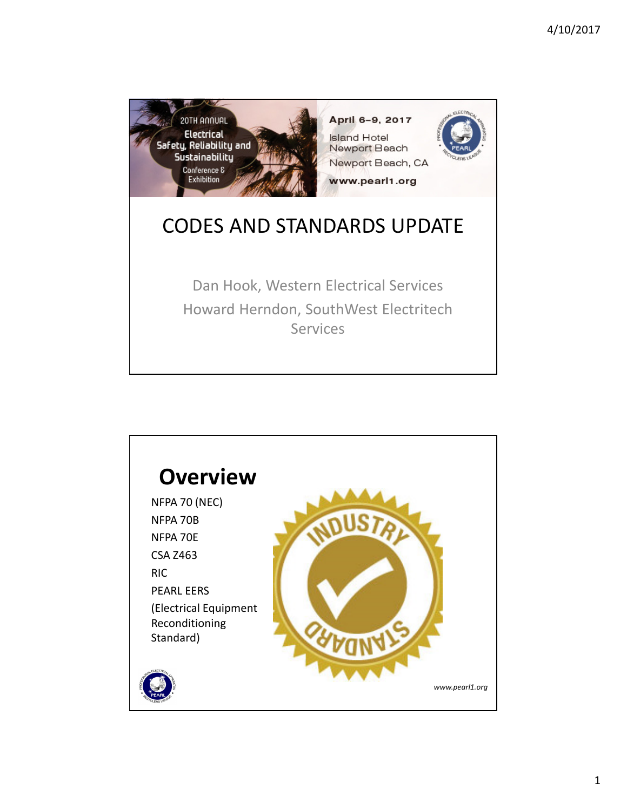

Dan Hook, Western Electrical Services Howard Herndon, SouthWest Electritech **Services** 

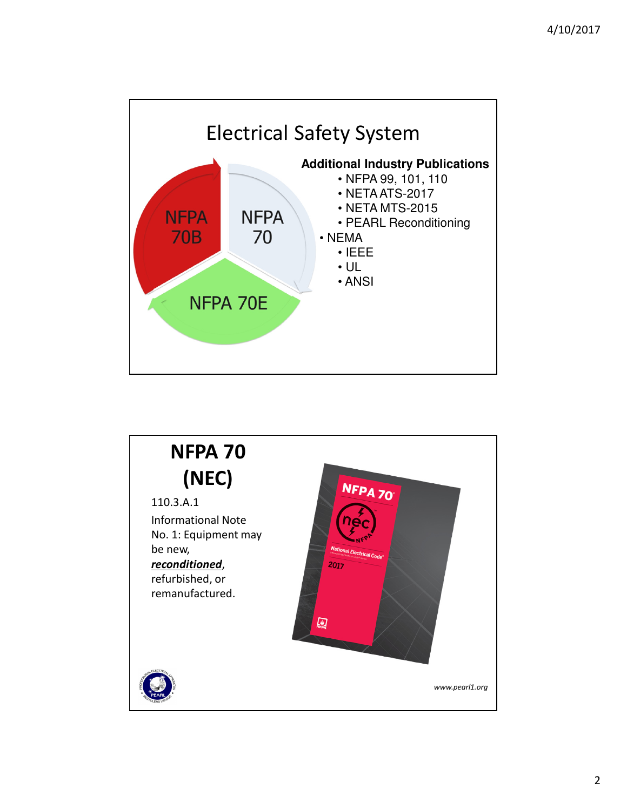

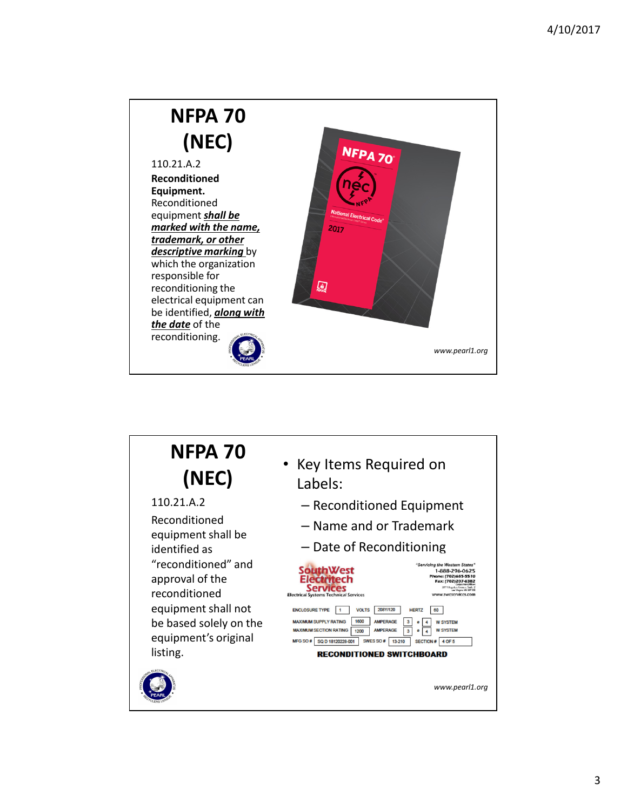

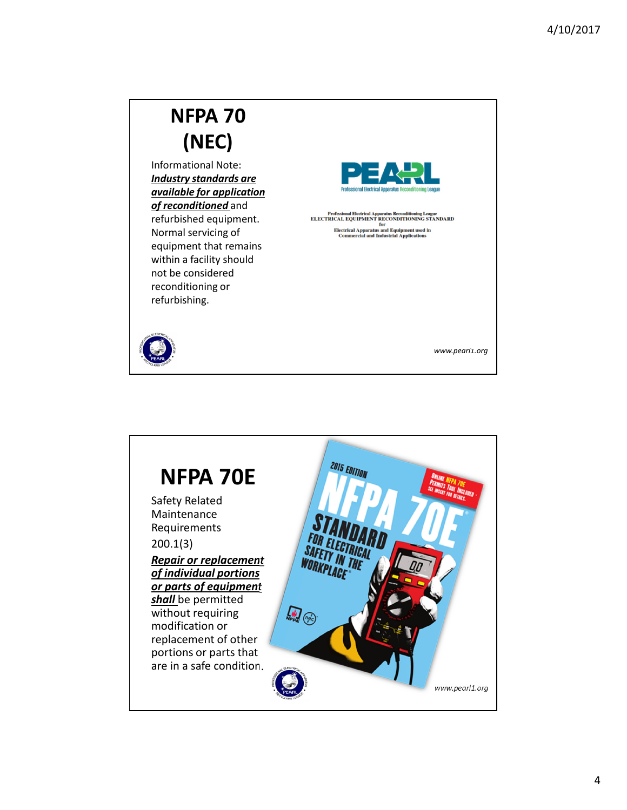### **NFPA 70 (NEC)** Informational Note: *Industry standards are available for application of reconditioned* and Professional Electrical Apparatus Reconditioning League<br>ELECTRICAL EQUIPMENT for ONDITIONING STANDARD<br>Electrical Apparatus and Equipment used in<br>Commercial and Industrial Applications refurbished equipment. Normal servicing of equipment that remains within a facility should not be considered reconditioning or refurbishing. *www.pearl1.org*

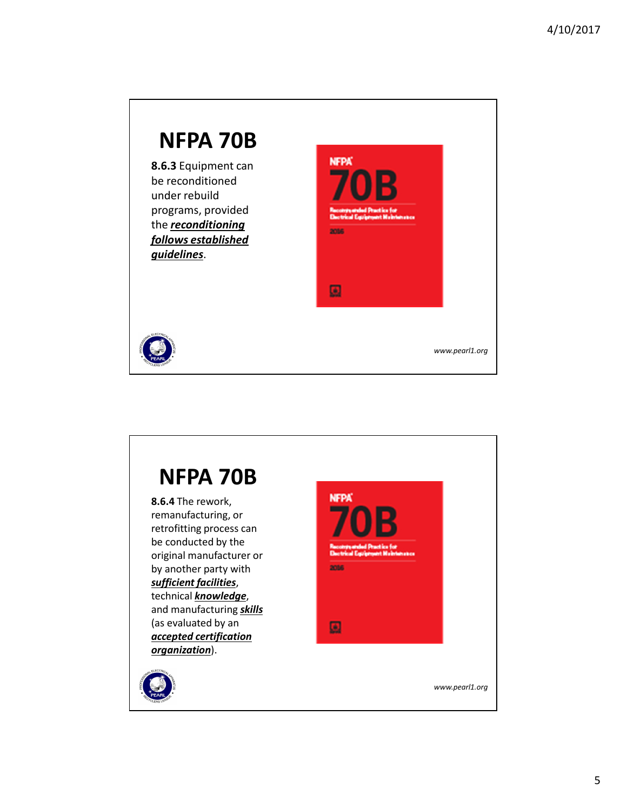## **NFPA 70B NFPA 8.6.3** Equipment can be reconditioned under rebuild programs, provided the *reconditioning*  2016 *follows established guidelines*. 圓 *www.pearl1.org*

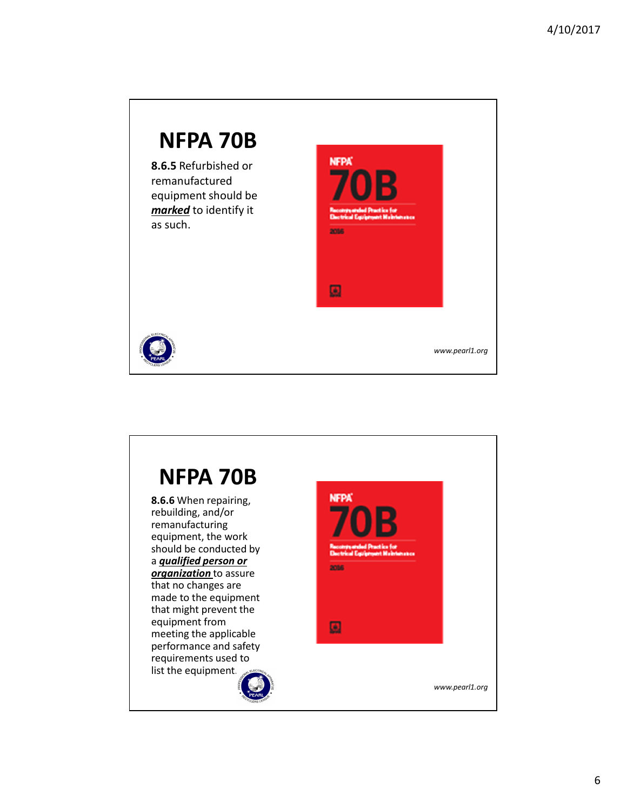

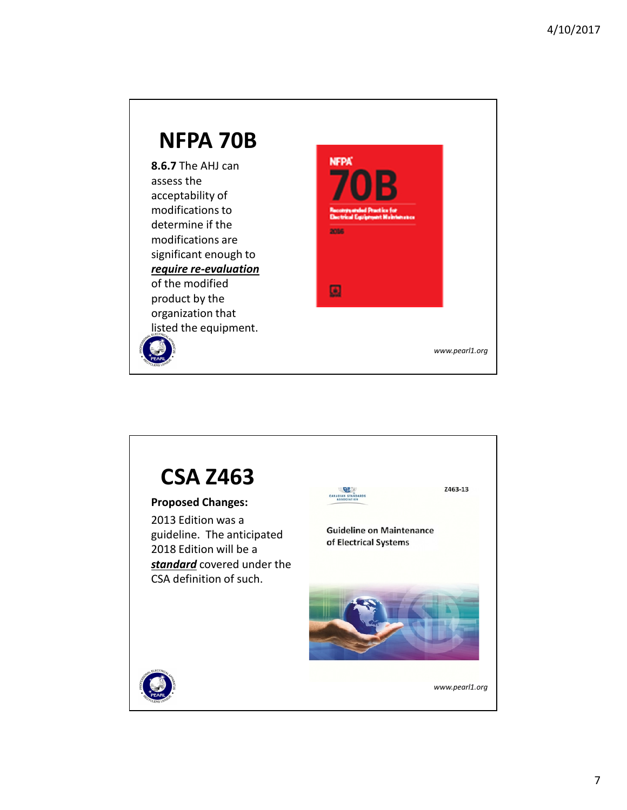#### **NFPA 70B NFPA 8.6.7** The AHJ can assess the acceptability of modifications to determine if the **2016** modifications are significant enough to *require re-evaluation*  of the modified 圆 product by the organization that listed the equipment. *www.pearl1.org*

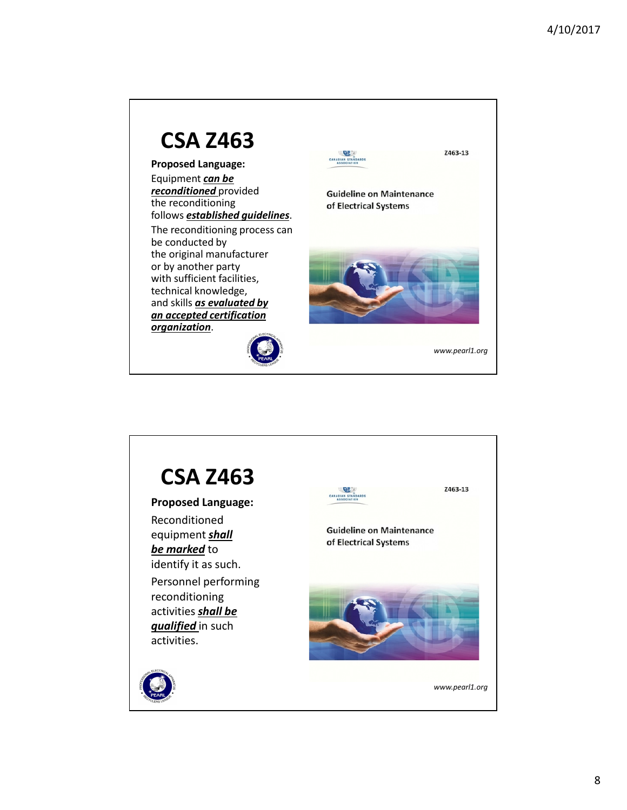

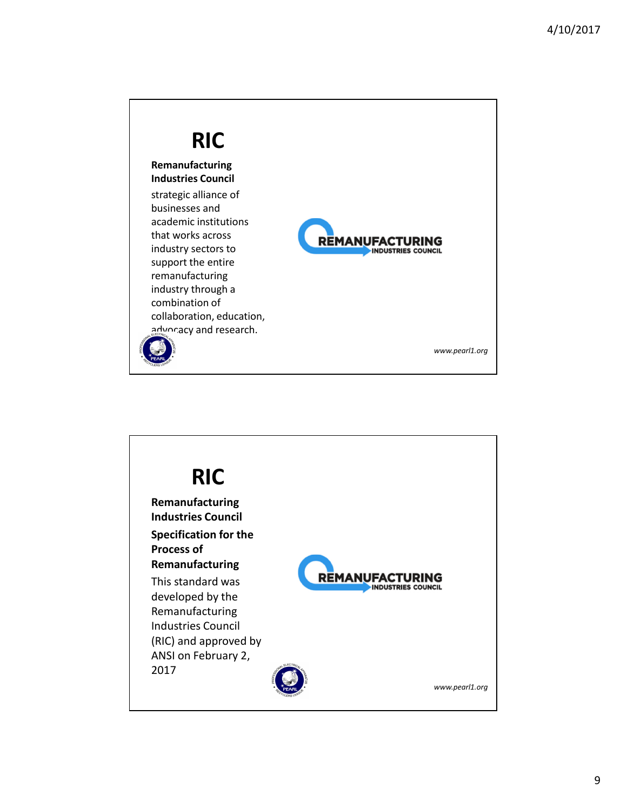

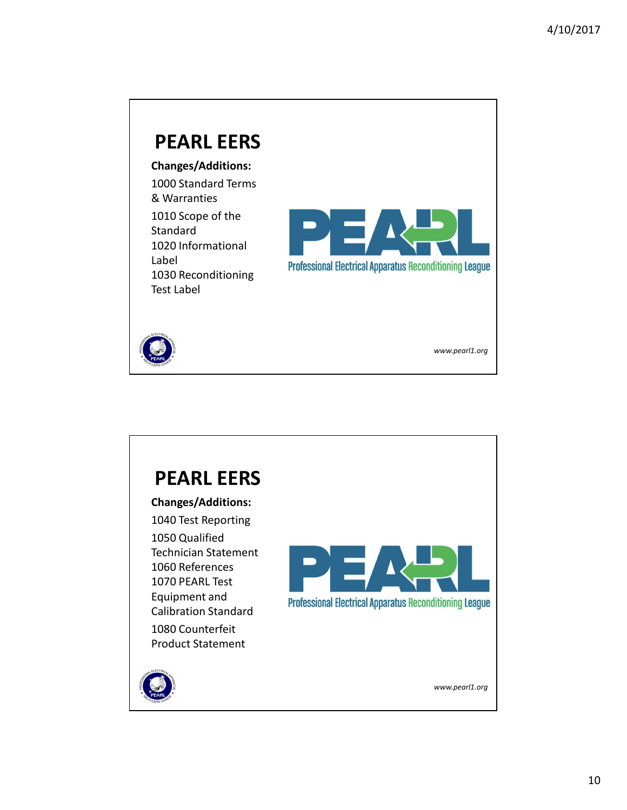## **PEARL EERS Changes/Additions:** 1000 Standard Terms & Warranties 1010 Scope of the Standard 1020 Informational Label **Professional Electrical Apparatus Reconditioning League** 1030 Reconditioning Test Label *www.pearl1.org*

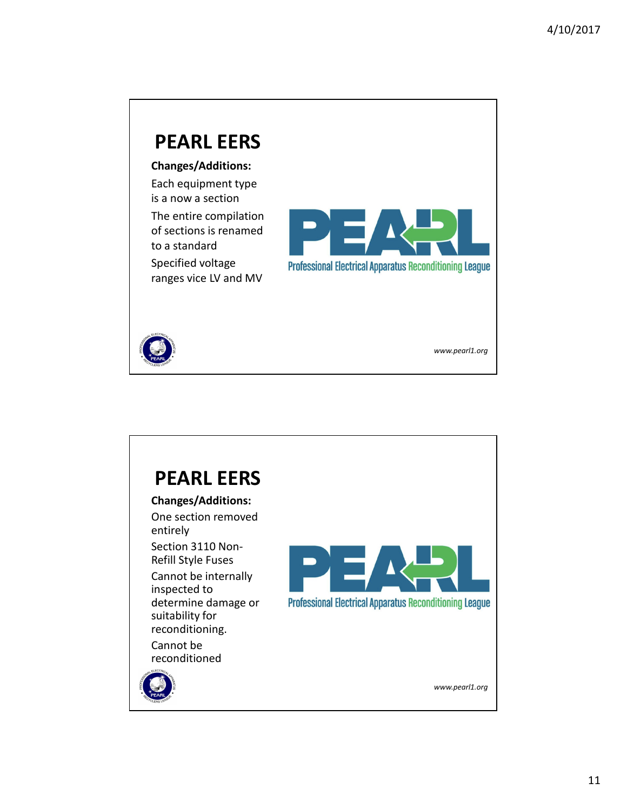# **PEARL EERS**

**Changes/Additions:**

Each equipment type is a now a section

The entire compilation of sections is renamed to a standard

Specified voltage ranges vice LV and MV



*www.pearl1.org*



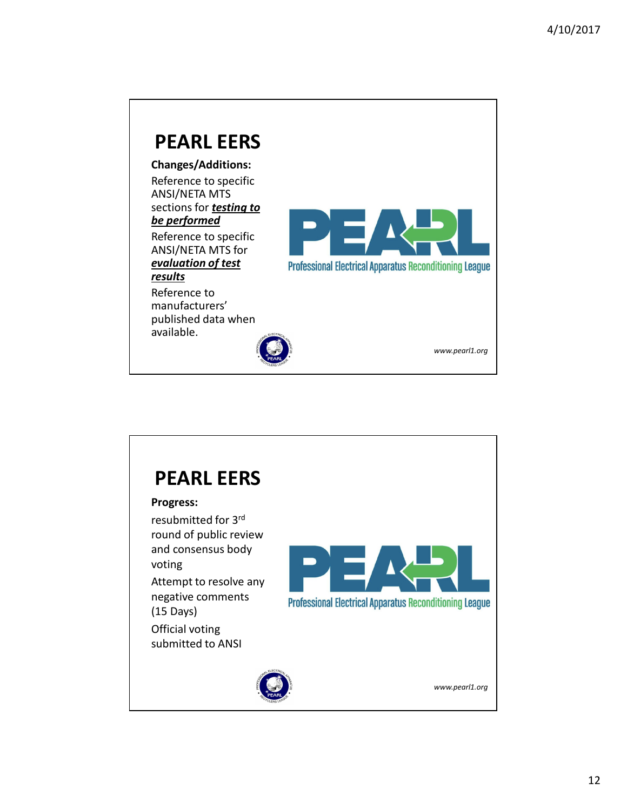

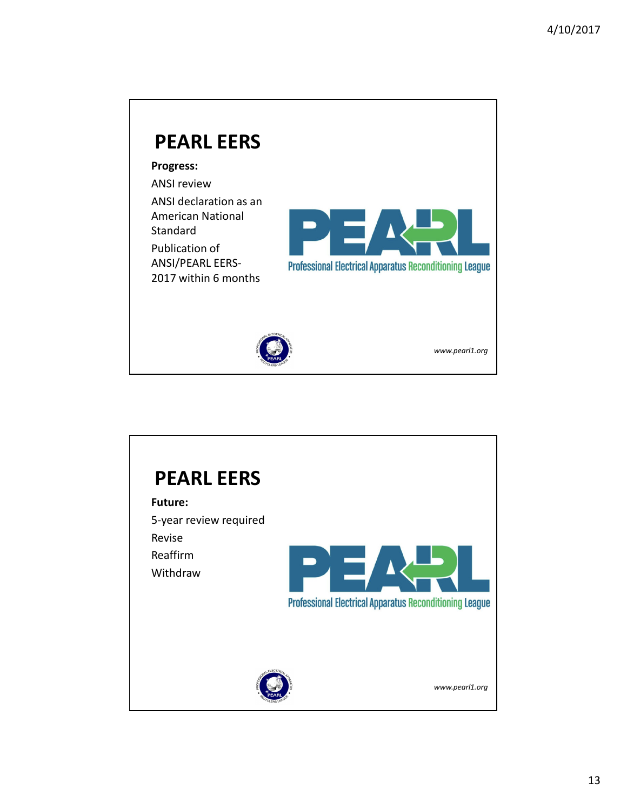